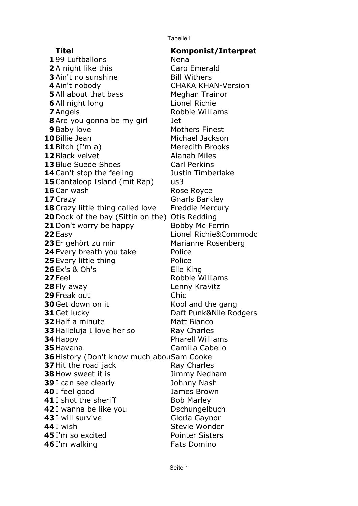Tabelle1

## **Titel**

**Komponist/Interpret** 199 Luftballons Nena A night like this **A Caro Emerald**  Ain't no sunshine Bill Withers Ain't nobody CHAKA KHAN-Version All about that bass All night long Lionel Richie Angels **Robbie Williams**  Are you gonna be my girl Jet Baby love Mothers Finest Billie Jean Michael Jackson Bitch (I'm a) Meredith Brooks Black velvet Blue Suede Shoes Carl Perkins Can't stop the feeling Justin Timberlake Cantaloop Island (mit Rap) us3 Car wash Rose Royce Crazy **Gnarls Barkley**  Crazy little thing called love Freddie Mercury Dock of the bay (Sittin on the) Otis Redding Don't worry be happy Easy **Lionel Richie&Commodo**  Marianne Rosenberg Every breath you take Police Every little thing **Police** Police Ex's & Oh's Elle King Feel Robbie Williams Fly away **Lenny Kravitz**  Freak out Chic Get down on it Kool and the gang Get lucky Daft Punk&Nile Rodgers Half a minute Matt Bianco Halleluja I love her so **Ray Charles**  Happy Havana History (Don't know much abouSam Cooke Hit the road jack **Ray Charles**  How sweet it is I can see clearly **Cancel Strutter Strutter** Johnny Nash I feel good **James Brown**  I shot the sheriff Bob Marley I wanna be like you I will survive Gloria Gaynor I wish Stevie Wonder I'm so excited **Pointer Sisters**  I'm walking **Fats** Domino Meghan Trainor Alanah Miles Bobby Mc Ferrin 23 Er gehört zu mir Pharell Williams Camilla Cabello Jimmy Nedham Dschungelbuch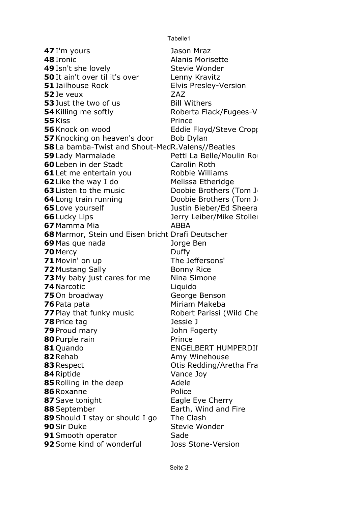Tabelle1

 I'm yours Ironic Isn't she lovely Stevie Wonder It ain't over til it's over Lenny Kravitz Jailhouse Rock Elvis Presley-Version ZAZ Je veux Just the two of us Bill Withers Killing me softly Kiss Prince Knock on wood Eddie Floyd/Steve Cropper Knocking on heaven's door Bob Dylan La bamba-Twist and Shout-MedR. Valens//Beatles Lady Marmalade Leben in der Stadt **Carolin Roth**  Let me entertain you **Robbie Williams**  Like the way I do Melissa Etheridge Listen to the music **Doobie Brothers (Tom J**  Long train running Doobie Brothers (Tom J Love yourself Lucky Lips Mamma Mia **ABBA**  Marmor, Stein und Eisen bricht Drafi Deutscher Mas que nada **mateixa de la propinción de la propinci**dad de la propinción de la propinción de la propinció Mercy Duffy Movin' on up The Jeffersons' Mustang Sally **Bonny Rice**  My baby just cares for me Nina Simone Narcotic On broadway George Benson Play that funky music Price tag Jessie J Proud mary **Conserversity** and the Dohn Fogerty Purple rain Prince **ENGELBERT HUMPERDII**  Rehab **Amy Winehouse**  Respect **Contract Contract Contract Contract Otis Redding/Aretha Franklin**  Riptide Vance Joy Rolling in the deep **Adele**  Roxanne Police Save tonight Eagle Eye Cherry September **Earth**, Wind and Fire Should I stay or should I go The Clash Sir Duke Stevie Wonder Smooth operator Sade Some kind of wonderful Joss Stone-Version Jason Mraz Alanis Morisette Roberta Flack/Fugees-V Petti La Belle/Moulin Ro Justin Bieber/Ed Sheera Jerry Leiber/Mike Stoller Liquido Miriam Makeba Robert Parissi (Wild Che 81 Ouando